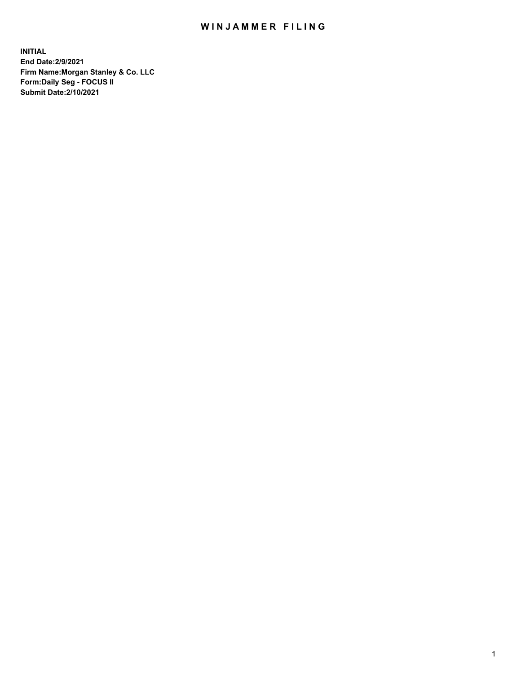## WIN JAMMER FILING

**INITIAL End Date:2/9/2021 Firm Name:Morgan Stanley & Co. LLC Form:Daily Seg - FOCUS II Submit Date:2/10/2021**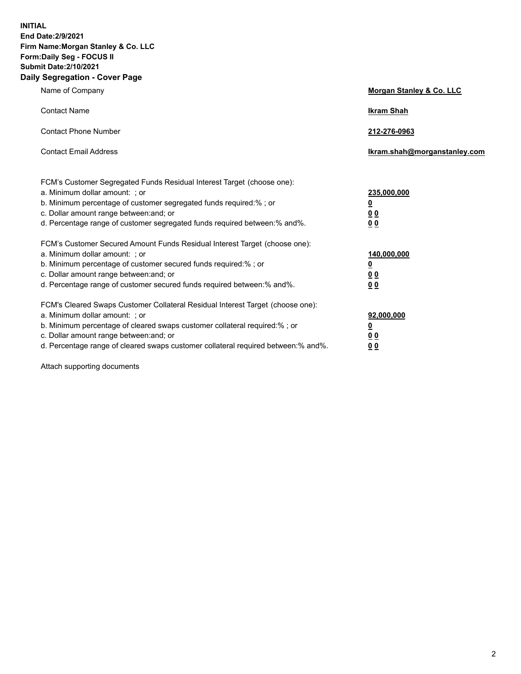**INITIAL End Date:2/9/2021 Firm Name:Morgan Stanley & Co. LLC Form:Daily Seg - FOCUS II Submit Date:2/10/2021 Daily Segregation - Cover Page**

| Name of Company                                                                                                                                                                                                                                                                                                                | Morgan Stanley & Co. LLC                                |
|--------------------------------------------------------------------------------------------------------------------------------------------------------------------------------------------------------------------------------------------------------------------------------------------------------------------------------|---------------------------------------------------------|
| <b>Contact Name</b>                                                                                                                                                                                                                                                                                                            | <b>Ikram Shah</b>                                       |
| <b>Contact Phone Number</b>                                                                                                                                                                                                                                                                                                    | 212-276-0963                                            |
| <b>Contact Email Address</b>                                                                                                                                                                                                                                                                                                   | Ikram.shah@morganstanley.com                            |
| FCM's Customer Segregated Funds Residual Interest Target (choose one):<br>a. Minimum dollar amount: ; or<br>b. Minimum percentage of customer segregated funds required:%; or<br>c. Dollar amount range between: and; or<br>d. Percentage range of customer segregated funds required between: % and %.                        | 235,000,000<br><u>0</u><br>00<br>0 Q                    |
| FCM's Customer Secured Amount Funds Residual Interest Target (choose one):<br>a. Minimum dollar amount: ; or<br>b. Minimum percentage of customer secured funds required:%; or<br>c. Dollar amount range between: and; or<br>d. Percentage range of customer secured funds required between:% and%.                            | 140,000,000<br><u>0</u><br><u>0 0</u><br>0 <sub>0</sub> |
| FCM's Cleared Swaps Customer Collateral Residual Interest Target (choose one):<br>a. Minimum dollar amount: ; or<br>b. Minimum percentage of cleared swaps customer collateral required:% ; or<br>c. Dollar amount range between: and; or<br>d. Percentage range of cleared swaps customer collateral required between:% and%. | 92,000,000<br><u>0</u><br><u>00</u><br>00               |

Attach supporting documents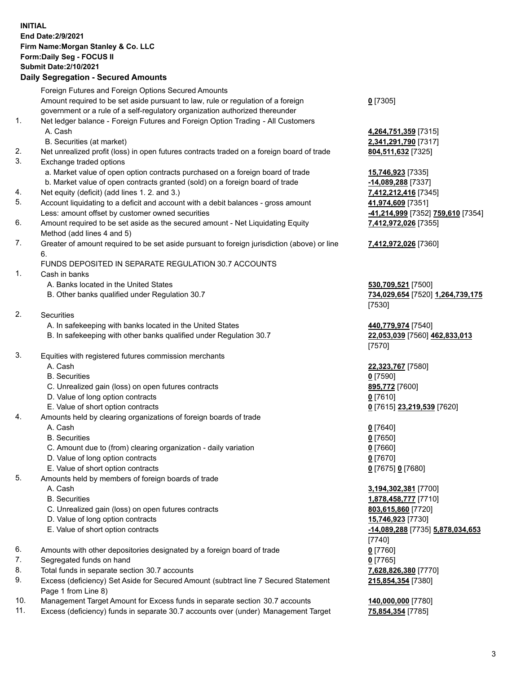## **INITIAL End Date:2/9/2021 Firm Name:Morgan Stanley & Co. LLC Form:Daily Seg - FOCUS II Submit Date:2/10/2021**

## **Daily Segregation - Secured Amounts**

Foreign Futures and Foreign Options Secured Amounts Amount required to be set aside pursuant to law, rule or regulation of a foreign government or a rule of a self-regulatory organization authorized thereunder 1. Net ledger balance - Foreign Futures and Foreign Option Trading - All Customers A. Cash **4,264,751,359** [7315] B. Securities (at market) **2,341,291,790** [7317] 2. Net unrealized profit (loss) in open futures contracts traded on a foreign board of trade **804,511,632** [7325] 3. Exchange traded options a. Market value of open option contracts purchased on a foreign board of trade **15,746,923** [7335] b. Market value of open contracts granted (sold) on a foreign board of trade **-14,089,288** [7337] 4. Net equity (deficit) (add lines 1. 2. and 3.) **7,412,212,416** [7345] 5. Account liquidating to a deficit and account with a debit balances - gross amount **41,974,609** [7351] Less: amount offset by customer owned securities **-41,214,999** [7352] **759,610** [7354] 6. Amount required to be set aside as the secured amount - Net Liquidating Equity Method (add lines 4 and 5) 7. Greater of amount required to be set aside pursuant to foreign jurisdiction (above) or line 6. FUNDS DEPOSITED IN SEPARATE REGULATION 30.7 ACCOUNTS 1. Cash in banks A. Banks located in the United States **530,709,521** [7500] B. Other banks qualified under Regulation 30.7 **734,029,654** [7520] **1,264,739,175** 2. Securities A. In safekeeping with banks located in the United States **440,779,974** [7540] B. In safekeeping with other banks qualified under Regulation 30.7 **22,053,039** [7560] **462,833,013** 3. Equities with registered futures commission merchants A. Cash **22,323,767** [7580] B. Securities **0** [7590] C. Unrealized gain (loss) on open futures contracts **895,772** [7600] D. Value of long option contracts **0** [7610] E. Value of short option contracts **0** [7615] **23,219,539** [7620] 4. Amounts held by clearing organizations of foreign boards of trade A. Cash **0** [7640] B. Securities **0** [7650] C. Amount due to (from) clearing organization - daily variation **0** [7660] D. Value of long option contracts **0** [7670] E. Value of short option contracts **0** [7675] **0** [7680] 5. Amounts held by members of foreign boards of trade A. Cash **3,194,302,381** [7700] B. Securities **1,878,458,777** [7710] C. Unrealized gain (loss) on open futures contracts **803,615,860** [7720] D. Value of long option contracts **15,746,923** [7730] E. Value of short option contracts **-14,089,288** [7735] **5,878,034,653** 6. Amounts with other depositories designated by a foreign board of trade **0** [7760] 7. Segregated funds on hand **0** [7765] 8. Total funds in separate section 30.7 accounts **7,628,826,380** [7770]

- 9. Excess (deficiency) Set Aside for Secured Amount (subtract line 7 Secured Statement Page 1 from Line 8)
- 10. Management Target Amount for Excess funds in separate section 30.7 accounts **140,000,000** [7780]
- 11. Excess (deficiency) funds in separate 30.7 accounts over (under) Management Target **75,854,354** [7785]

**0** [7305]

**7,412,972,026** [7355]

## **7,412,972,026** [7360]

[7530]

[7570]

[7740] **215,854,354** [7380]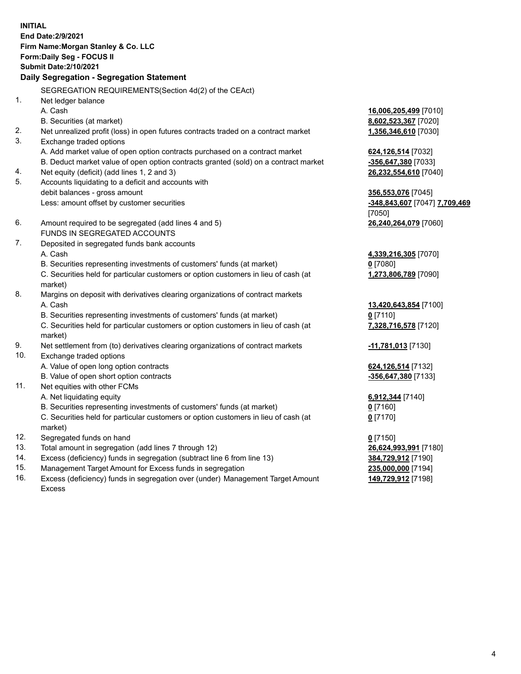**INITIAL End Date:2/9/2021 Firm Name:Morgan Stanley & Co. LLC Form:Daily Seg - FOCUS II Submit Date:2/10/2021 Daily Segregation - Segregation Statement** SEGREGATION REQUIREMENTS(Section 4d(2) of the CEAct) 1. Net ledger balance A. Cash **16,006,205,499** [7010] B. Securities (at market) **8,602,523,367** [7020] 2. Net unrealized profit (loss) in open futures contracts traded on a contract market **1,356,346,610** [7030] 3. Exchange traded options A. Add market value of open option contracts purchased on a contract market **624,126,514** [7032] B. Deduct market value of open option contracts granted (sold) on a contract market **-356,647,380** [7033] 4. Net equity (deficit) (add lines 1, 2 and 3) **26,232,554,610** [7040] 5. Accounts liquidating to a deficit and accounts with debit balances - gross amount **356,553,076** [7045] Less: amount offset by customer securities **-348,843,607** [7047] **7,709,469** [7050] 6. Amount required to be segregated (add lines 4 and 5) **26,240,264,079** [7060] FUNDS IN SEGREGATED ACCOUNTS 7. Deposited in segregated funds bank accounts A. Cash **4,339,216,305** [7070] B. Securities representing investments of customers' funds (at market) **0** [7080] C. Securities held for particular customers or option customers in lieu of cash (at market) **1,273,806,789** [7090] 8. Margins on deposit with derivatives clearing organizations of contract markets A. Cash **13,420,643,854** [7100] B. Securities representing investments of customers' funds (at market) **0** [7110] C. Securities held for particular customers or option customers in lieu of cash (at market) **7,328,716,578** [7120] 9. Net settlement from (to) derivatives clearing organizations of contract markets **-11,781,013** [7130] 10. Exchange traded options A. Value of open long option contracts **624,126,514** [7132] B. Value of open short option contracts **-356,647,380** [7133] 11. Net equities with other FCMs A. Net liquidating equity **6,912,344** [7140] B. Securities representing investments of customers' funds (at market) **0** [7160] C. Securities held for particular customers or option customers in lieu of cash (at market) **0** [7170] 12. Segregated funds on hand **0** [7150] 13. Total amount in segregation (add lines 7 through 12) **26,624,993,991** [7180] 14. Excess (deficiency) funds in segregation (subtract line 6 from line 13) **384,729,912** [7190]

- 15. Management Target Amount for Excess funds in segregation **235,000,000** [7194]
- 16. Excess (deficiency) funds in segregation over (under) Management Target Amount Excess

**149,729,912** [7198]